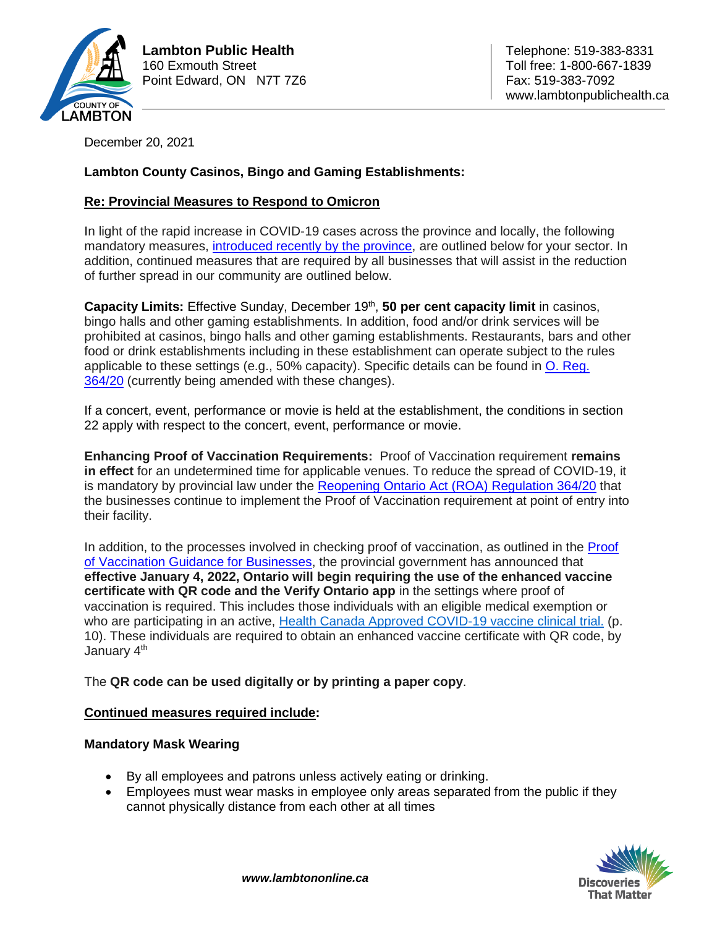

**Lambton Public Health**  $\vert$  **Telephone: 519-383-8331** 160 Exmouth Street Toll free: 1-800-667-1839 Point Edward, ON N7T 7Z6 Fax: 519-383-7092

www.lambtonpublichealth.ca

December 20, 2021

# **Lambton County Casinos, Bingo and Gaming Establishments:**

## **Re: Provincial Measures to Respond to Omicron**

In light of the rapid increase in COVID-19 cases across the province and locally, the following mandatory measures, [introduced recently by the province,](https://news.ontario.ca/en/release/1001366/ontario-further-strengthening-response-to-omicron) are outlined below for your sector. In addition, continued measures that are required by all businesses that will assist in the reduction of further spread in our community are outlined below.

Capacity Limits: Effective Sunday, December 19<sup>th</sup>, 50 per cent capacity limit in casinos, bingo halls and other gaming establishments. In addition, food and/or drink services will be prohibited at casinos, bingo halls and other gaming establishments. Restaurants, bars and other food or drink establishments including in these establishment can operate subject to the rules applicable to these settings (e.g., 50% capacity). Specific details can be found in [O. Reg.](https://www.ontario.ca/laws/regulation/200364) [364/20](https://www.ontario.ca/laws/regulation/200364) (currently being amended with these changes).

If a concert, event, performance or movie is held at the establishment, the conditions in section 22 apply with respect to the concert, event, performance or movie.

**Enhancing Proof of Vaccination Requirements:** Proof of Vaccination requirement **remains in effect** for an undetermined time for applicable venues. To reduce the spread of COVID-19, it is mandatory by provincial law under the Reopening Ontario [Act \(ROA\) Regulation 364/20](https://www.ontario.ca/laws/regulation/200364) that the businesses continue to implement the Proof of Vaccination requirement at point of entry into their facility.

In addition, to the processes involved in checking proof of vaccination, as outlined in the [Proof](https://www.health.gov.on.ca/en/pro/programs/publichealth/coronavirus/docs/guidance_proof_of_vaccination_for_businesses_and_organizations.pdf)  [of Vaccination Guidance for Businesses,](https://www.health.gov.on.ca/en/pro/programs/publichealth/coronavirus/docs/guidance_proof_of_vaccination_for_businesses_and_organizations.pdf) the provincial government has announced that **effective January 4, 2022, Ontario will begin requiring the use of the enhanced vaccine certificate with QR code and the Verify Ontario app** in the settings where proof of vaccination is required. This includes those individuals with an eligible medical exemption or who are participating in an active, Health Canada Approved COVID-19 vaccine clinical trial. (p. 10). These individuals are required to obtain an enhanced vaccine certificate with QR code, by January 4<sup>th</sup>

#### The **QR code can be used digitally or by printing a paper copy**.

#### **Continued measures required include:**

#### **Mandatory Mask Wearing**

- By all employees and patrons unless actively eating or drinking.
- Employees must wear masks in employee only areas separated from the public if they cannot physically distance from each other at all times